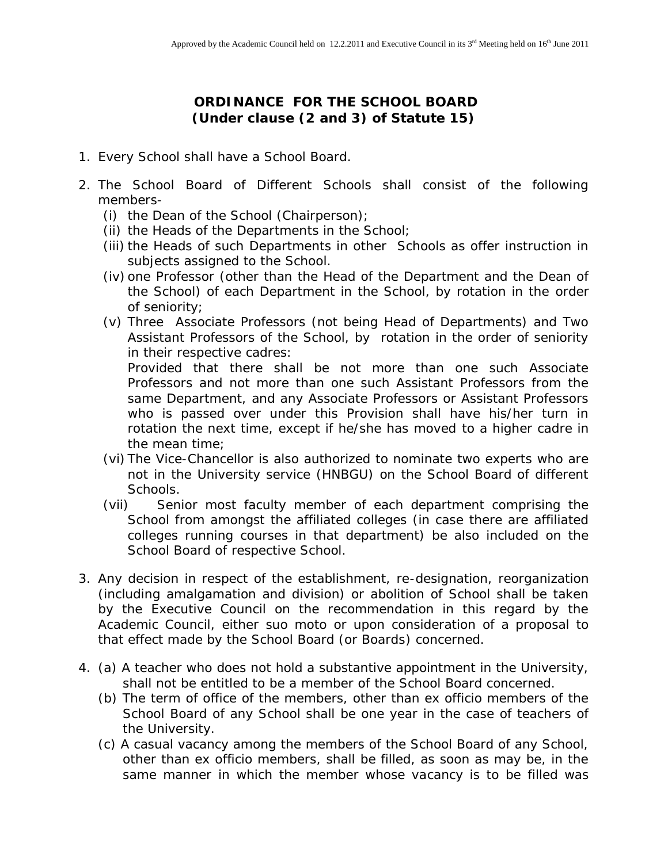**ORDINANCE FOR THE SCHOOL BOARD (Under clause (2 and 3) of Statute 15)**

- 1. Every School shall have a School Board.
- 2. The School Board of Different Schools shall consist of the following members-
	- (i) the Dean of the School (Chairperson);
	- (ii) the Heads of the Departments in the School;
	- (iii) the Heads of such Departments in other Schools as offer instruction in subjects assigned to the School.
	- (iv) one Professor (other than the Head of the Department and the Dean of the School) of each Department in the School, by rotation in the order of seniority;
	- (v) Three Associate Professors (not being Head of Departments) and Two Assistant Professors of the School, by rotation in the order of seniority in their respective cadres:

Provided that there shall be not more than one such Associate Professors and not more than one such Assistant Professors from the same Department, and any Associate Professors or Assistant Professors who is passed over under this Provision shall have his/her turn in rotation the next time, except if he/she has moved to a higher cadre in the mean time;

- (vi) The Vice-Chancellor is also authorized to nominate two experts who are not in the University service (HNBGU) on the School Board of different Schools.
- (vii) Senior most faculty member of each department comprising the School from amongst the affiliated colleges (in case there are affiliated colleges running courses in that department) be also included on the School Board of respective School.
- 3. Any decision in respect of the establishment, re-designation, reorganization (including amalgamation and division) or abolition of School shall be taken by the Executive Council on the recommendation in this regard by the Academic Council, either *suo moto* or upon consideration of a proposal to that effect made by the School Board (or Boards) concerned.
- 4. (a) A teacher who does not hold a substantive appointment in the University, shall not be entitled to be a member of the School Board concerned.
	- (b) The term of office of the members, other than ex officio members of the School Board of any School shall be one year in the case of teachers of the University.
	- (c) A casual vacancy among the members of the School Board of any School, other than ex officio members, shall be filled, as soon as may be, in the same manner in which the member whose vacancy is to be filled was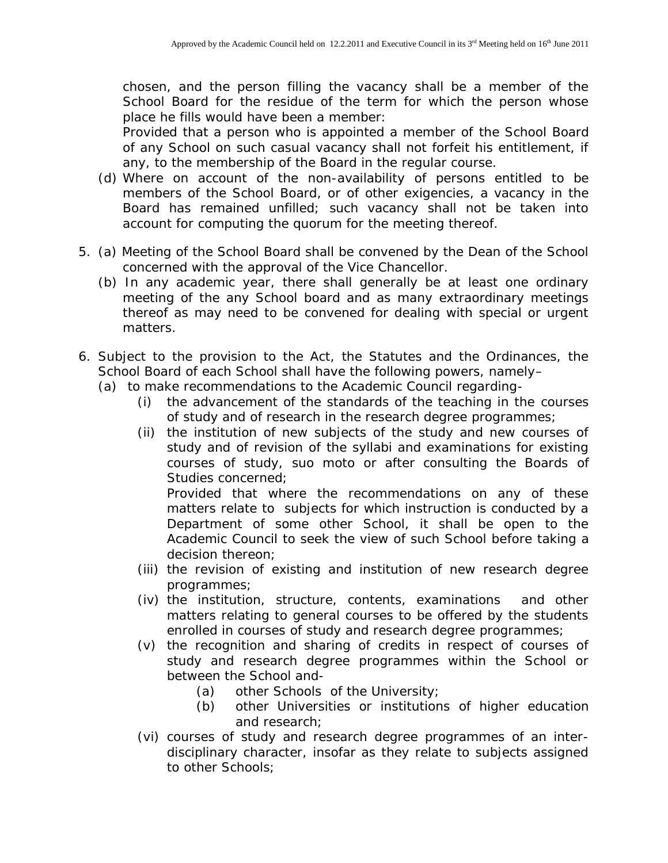chosen, and the person filling the vacancy shall be a member of the School Board for the residue of the term for which the person whose place he fills would have been a member:

Provided that a person who is appointed a member of the School Board of any School on such casual vacancy shall not forfeit his entitlement, if any, to the membership of the Board in the regular course.

- (d) Where on account of the non-availability of persons entitled to be members of the School Board, or of other exigencies, a vacancy in the Board has remained unfilled; such vacancy shall not be taken into account for computing the quorum for the meeting thereof.
- 5. (a) Meeting of the School Board shall be convened by the Dean of the School concerned with the approval of the Vice Chancellor.
	- (b) In any academic year, there shall generally be at least one ordinary meeting of the any School board and as many extraordinary meetings thereof as may need to be convened for dealing with special or urgent matters.
- 6. Subject to the provision to the Act, the Statutes and the Ordinances, the School Board of each School shall have the following powers, namely–
	- (a) to make recommendations to the Academic Council regarding-
		- (i) the advancement of the standards of the teaching in the courses of study and of research in the research degree programmes;
		- (ii) the institution of new subjects of the study and new courses of study and of revision of the syllabi and examinations for existing courses of study, *suo moto* or after consulting the Boards of Studies concerned;

Provided that where the recommendations on any of these matters relate to subjects for which instruction is conducted by a Department of some other School, it shall be open to the Academic Council to seek the view of such School before taking a decision thereon;

- (iii) the revision of existing and institution of new research degree programmes;
- (iv) the institution, structure, contents, examinations and other matters relating to general courses to be offered by the students enrolled in courses of study and research degree programmes;
- (v) the recognition and sharing of credits in respect of courses of study and research degree programmes within the School or between the School and-
	- (a) other Schools of the University;
	- (b) other Universities or institutions of higher education and research;
- (vi) courses of study and research degree programmes of an inter disciplinary character, insofar as they relate to subjects assigned to other Schools;